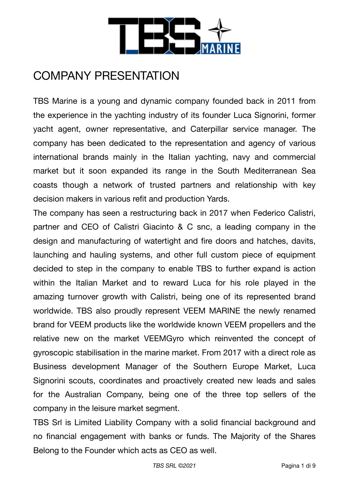

# COMPANY PRESENTATION

TBS Marine is a young and dynamic company founded back in 2011 from the experience in the yachting industry of its founder Luca Signorini, former yacht agent, owner representative, and Caterpillar service manager. The company has been dedicated to the representation and agency of various international brands mainly in the Italian yachting, navy and commercial market but it soon expanded its range in the South Mediterranean Sea coasts though a network of trusted partners and relationship with key decision makers in various refit and production Yards.

The company has seen a restructuring back in 2017 when Federico Calistri, partner and CEO of Calistri Giacinto & C snc, a leading company in the design and manufacturing of watertight and fire doors and hatches, davits, launching and hauling systems, and other full custom piece of equipment decided to step in the company to enable TBS to further expand is action within the Italian Market and to reward Luca for his role played in the amazing turnover growth with Calistri, being one of its represented brand worldwide. TBS also proudly represent VEEM MARINE the newly renamed brand for VEEM products like the worldwide known VEEM propellers and the relative new on the market VEEMGyro which reinvented the concept of gyroscopic stabilisation in the marine market. From 2017 with a direct role as Business development Manager of the Southern Europe Market, Luca Signorini scouts, coordinates and proactively created new leads and sales for the Australian Company, being one of the three top sellers of the company in the leisure market segment.

TBS Srl is Limited Liability Company with a solid financial background and no financial engagement with banks or funds. The Majority of the Shares Belong to the Founder which acts as CEO as well.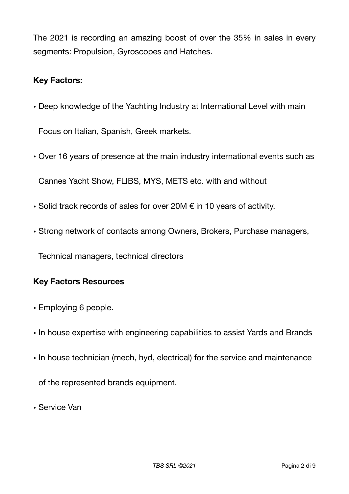The 2021 is recording an amazing boost of over the 35% in sales in every segments: Propulsion, Gyroscopes and Hatches.

### **Key Factors:**

• Deep knowledge of the Yachting Industry at International Level with main

Focus on Italian, Spanish, Greek markets.

• Over 16 years of presence at the main industry international events such as

Cannes Yacht Show, FLIBS, MYS, METS etc. with and without

- Solid track records of sales for over 20M  $\epsilon$  in 10 years of activity.
- Strong network of contacts among Owners, Brokers, Purchase managers,

Technical managers, technical directors

### **Key Factors Resources**

- Employing 6 people.
- In house expertise with engineering capabilities to assist Yards and Brands
- In house technician (mech, hyd, electrical) for the service and maintenance

of the represented brands equipment.

• Service Van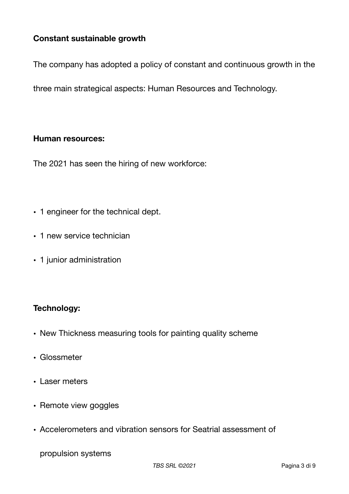## **Constant sustainable growth**

The company has adopted a policy of constant and continuous growth in the

three main strategical aspects: Human Resources and Technology.

#### **Human resources:**

The 2021 has seen the hiring of new workforce:

- 1 engineer for the technical dept.
- 1 new service technician
- 1 junior administration

#### **Technology:**

- New Thickness measuring tools for painting quality scheme
- Glossmeter
- Laser meters
- Remote view goggles
- Accelerometers and vibration sensors for Seatrial assessment of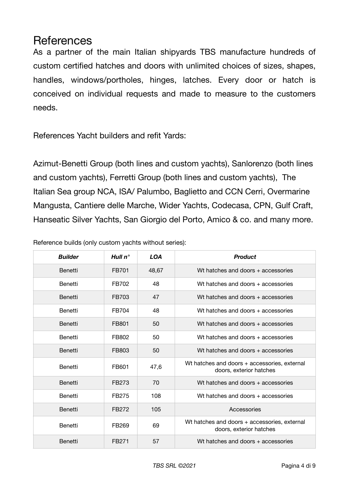## References

As a partner of the main Italian shipyards TBS manufacture hundreds of custom certified hatches and doors with unlimited choices of sizes, shapes, handles, windows/portholes, hinges, latches. Every door or hatch is conceived on individual requests and made to measure to the customers needs.

References Yacht builders and refit Yards:

Azimut-Benetti Group (both lines and custom yachts), Sanlorenzo (both lines and custom yachts), Ferretti Group (both lines and custom yachts), The Italian Sea group NCA, ISA/ Palumbo, Baglietto and CCN Cerri, Overmarine Mangusta, Cantiere delle Marche, Wider Yachts, Codecasa, CPN, Gulf Craft, Hanseatic Silver Yachts, San Giorgio del Porto, Amico & co. and many more.

| <b>Builder</b> | Hull $n^{\circ}$  | <b>LOA</b> | <b>Product</b>                                                          |
|----------------|-------------------|------------|-------------------------------------------------------------------------|
| <b>Benetti</b> | FB701             | 48,67      | Wt hatches and doors + accessories                                      |
| <b>Benetti</b> | FB702             | 48         | Wt hatches and doors + accessories                                      |
| <b>Benetti</b> | FB703             | 47         | Wt hatches and doors + accessories                                      |
| Benetti        | FB704             | 48         | Wt hatches and doors + accessories                                      |
| <b>Benetti</b> | FB801             | 50         | Wt hatches and doors + accessories                                      |
| Benetti        | FB802             | 50         | Wt hatches and doors + accessories                                      |
| Benetti        | FB803             | 50         | Wt hatches and doors + accessories                                      |
| <b>Benetti</b> | FB601             | 47,6       | Wt hatches and doors + accessories, external<br>doors, exterior hatches |
| Benetti        | FB273             | 70         | Wt hatches and doors + accessories                                      |
| Benetti        | FB275             | 108        | Wt hatches and doors + accessories                                      |
| Benetti        | FB272             | 105        | Accessories                                                             |
| Benetti        | FB269             | 69         | Wt hatches and doors + accessories, external<br>doors, exterior hatches |
| Benetti        | FB <sub>271</sub> | 57         | Wt hatches and doors + accessories                                      |

Reference builds (only custom yachts without series):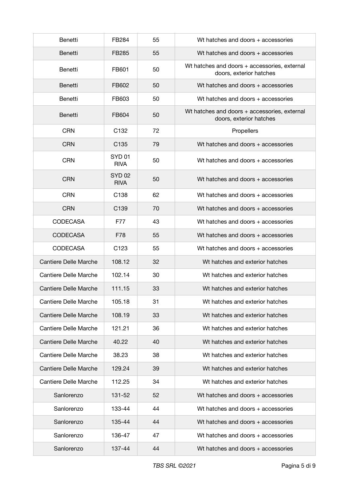| Benetti                      | FB284                            | 55 | Wt hatches and doors + accessories                                      |
|------------------------------|----------------------------------|----|-------------------------------------------------------------------------|
| <b>Benetti</b>               | FB285                            | 55 | Wt hatches and doors + accessories                                      |
| Benetti                      | FB601                            | 50 | Wt hatches and doors + accessories, external<br>doors, exterior hatches |
| Benetti                      | FB602                            | 50 | Wt hatches and doors + accessories                                      |
| Benetti                      | FB603                            | 50 | Wt hatches and doors + accessories                                      |
| <b>Benetti</b>               | FB604                            | 50 | Wt hatches and doors + accessories, external<br>doors, exterior hatches |
| <b>CRN</b>                   | C <sub>132</sub>                 | 72 | Propellers                                                              |
| <b>CRN</b>                   | C <sub>135</sub>                 | 79 | Wt hatches and doors + accessories                                      |
| <b>CRN</b>                   | SYD <sub>01</sub><br><b>RIVA</b> | 50 | Wt hatches and doors + accessories                                      |
| <b>CRN</b>                   | <b>SYD 02</b><br><b>RIVA</b>     | 50 | Wt hatches and doors + accessories                                      |
| <b>CRN</b>                   | C <sub>138</sub>                 | 62 | Wt hatches and doors + accessories                                      |
| <b>CRN</b>                   | C <sub>139</sub>                 | 70 | Wt hatches and doors + accessories                                      |
| <b>CODECASA</b>              | F77                              | 43 | Wt hatches and doors + accessories                                      |
| <b>CODECASA</b>              | F78                              | 55 | Wt hatches and doors + accessories                                      |
| <b>CODECASA</b>              | C <sub>123</sub>                 | 55 | Wt hatches and doors + accessories                                      |
| Cantiere Delle Marche        | 108.12                           | 32 | Wt hatches and exterior hatches                                         |
| Cantiere Delle Marche        | 102.14                           | 30 | Wt hatches and exterior hatches                                         |
| Cantiere Delle Marche        | 111.15                           | 33 | Wt hatches and exterior hatches                                         |
| Cantiere Delle Marche        | 105.18                           | 31 | Wt hatches and exterior hatches                                         |
| <b>Cantiere Delle Marche</b> | 108.19                           | 33 | Wt hatches and exterior hatches                                         |
| Cantiere Delle Marche        | 121.21                           | 36 | Wt hatches and exterior hatches                                         |
| Cantiere Delle Marche        | 40.22                            | 40 | Wt hatches and exterior hatches                                         |
| Cantiere Delle Marche        | 38.23                            | 38 | Wt hatches and exterior hatches                                         |
| Cantiere Delle Marche        | 129.24                           | 39 | Wt hatches and exterior hatches                                         |
| Cantiere Delle Marche        | 112.25                           | 34 | Wt hatches and exterior hatches                                         |
| Sanlorenzo                   | 131-52                           | 52 | Wt hatches and doors + accessories                                      |
| Sanlorenzo                   | 133-44                           | 44 | Wt hatches and doors + accessories                                      |
| Sanlorenzo                   | 135-44                           | 44 | Wt hatches and doors + accessories                                      |
| Sanlorenzo                   | 136-47                           | 47 | Wt hatches and doors + accessories                                      |
| Sanlorenzo                   | 137-44                           | 44 | Wt hatches and doors + accessories                                      |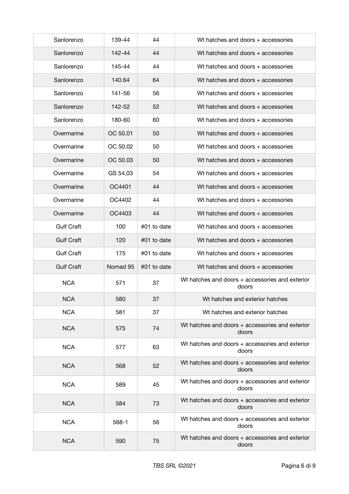| Sanlorenzo        | 139-44   | 44          | Wt hatches and doors + accessories                       |
|-------------------|----------|-------------|----------------------------------------------------------|
| Sanlorenzo        | 142-44   | 44          | Wt hatches and doors + accessories                       |
| Sanlorenzo        | 145-44   | 44          | Wt hatches and doors + accessories                       |
| Sanlorenzo        | 140.64   | 64          | Wt hatches and doors + accessories                       |
| Sanlorenzo        | 141-56   | 56          | Wt hatches and doors + accessories                       |
| Sanlorenzo        | 142-52   | 52          | Wt hatches and doors + accessories                       |
| Sanlorenzo        | 180-60   | 60          | Wt hatches and doors + accessories                       |
| Overmarine        | OC 50.01 | 50          | Wt hatches and doors + accessories                       |
| Overmarine        | OC 50.02 | 50          | Wt hatches and doors + accessories                       |
| Overmarine        | OC 50.03 | 50          | Wt hatches and doors + accessories                       |
| Overmarine        | GS 54,03 | 54          | Wt hatches and doors + accessories                       |
| Overmarine        | OC4401   | 44          | Wt hatches and doors + accessories                       |
| Overmarine        | OC4402   | 44          | Wt hatches and doors + accessories                       |
| Overmarine        | OC4403   | 44          | Wt hatches and doors + accessories                       |
| <b>Gulf Craft</b> | 100      | #01 to date | Wt hatches and doors + accessories                       |
| <b>Gulf Craft</b> | 120      | #01 to date | Wt hatches and doors + accessories                       |
| <b>Gulf Craft</b> | 175      | #01 to date | Wt hatches and doors + accessories                       |
| <b>Gulf Craft</b> | Nomad 95 | #01 to date | Wt hatches and doors + accessories                       |
| <b>NCA</b>        | 571      | 37          | Wt hatches and doors + accessories and exterior<br>doors |
| <b>NCA</b>        | 580      | 37          | Wt hatches and exterior hatches                          |
| <b>NCA</b>        | 581      | 37          | Wt hatches and exterior hatches                          |
| <b>NCA</b>        | 575      | 74          | Wt hatches and doors + accessories and exterior<br>doors |
| <b>NCA</b>        | 577      | 63          | Wt hatches and doors + accessories and exterior<br>doors |
| <b>NCA</b>        | 568      | 52          | Wt hatches and doors + accessories and exterior<br>doors |
| <b>NCA</b>        | 589      | 45          | Wt hatches and doors + accessories and exterior<br>doors |
| <b>NCA</b>        | 584      | 73          | Wt hatches and doors + accessories and exterior<br>doors |
| <b>NCA</b>        | 568-1    | 56          | Wt hatches and doors + accessories and exterior<br>doors |
| <b>NCA</b>        | 590      | 75          | Wt hatches and doors + accessories and exterior<br>doors |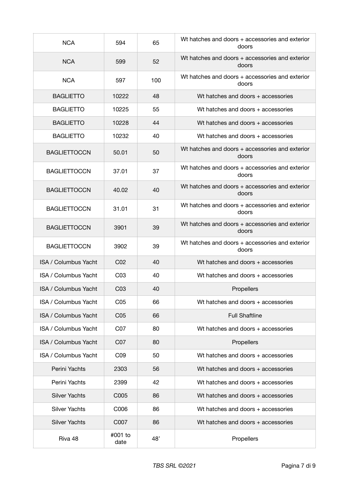| <b>NCA</b>                  | 594             | 65  | Wt hatches and doors + accessories and exterior<br>doors |
|-----------------------------|-----------------|-----|----------------------------------------------------------|
| <b>NCA</b>                  | 599             | 52  | Wt hatches and doors + accessories and exterior<br>doors |
| <b>NCA</b>                  | 597             | 100 | Wt hatches and doors + accessories and exterior<br>doors |
| <b>BAGLIETTO</b>            | 10222           | 48  | Wt hatches and doors + accessories                       |
| <b>BAGLIETTO</b>            | 10225           | 55  | Wt hatches and doors + accessories                       |
| <b>BAGLIETTO</b>            | 10228           | 44  | Wt hatches and doors + accessories                       |
| <b>BAGLIETTO</b>            | 10232           | 40  | Wt hatches and doors + accessories                       |
| <b>BAGLIETTOCCN</b>         | 50.01           | 50  | Wt hatches and doors + accessories and exterior<br>doors |
| <b>BAGLIETTOCCN</b>         | 37.01           | 37  | Wt hatches and doors + accessories and exterior<br>doors |
| <b>BAGLIETTOCCN</b>         | 40.02           | 40  | Wt hatches and doors + accessories and exterior<br>doors |
| <b>BAGLIETTOCCN</b>         | 31.01           | 31  | Wt hatches and doors + accessories and exterior<br>doors |
| <b>BAGLIETTOCCN</b>         | 3901            | 39  | Wt hatches and doors + accessories and exterior<br>doors |
| <b>BAGLIETTOCCN</b>         | 3902            | 39  | Wt hatches and doors + accessories and exterior<br>doors |
| <b>ISA / Columbus Yacht</b> | C <sub>02</sub> | 40  | Wt hatches and doors + accessories                       |
| <b>ISA / Columbus Yacht</b> | CO <sub>3</sub> | 40  | Wt hatches and doors + accessories                       |
| <b>ISA / Columbus Yacht</b> | CO <sub>3</sub> | 40  | Propellers                                               |
| ISA / Columbus Yacht        | C <sub>05</sub> | 66  | Wt hatches and doors + accessories                       |
| ISA / Columbus Yacht        | C <sub>05</sub> | 66  | <b>Full Shaftline</b>                                    |
| ISA / Columbus Yacht        | C07             | 80  | Wt hatches and doors + accessories                       |
| ISA / Columbus Yacht        | C07             | 80  | Propellers                                               |
| ISA / Columbus Yacht        | C <sub>09</sub> | 50  | Wt hatches and doors + accessories                       |
| Perini Yachts               | 2303            | 56  | Wt hatches and doors + accessories                       |
| Perini Yachts               | 2399            | 42  | Wt hatches and doors + accessories                       |
| <b>Silver Yachts</b>        | C005            | 86  | Wt hatches and doors + accessories                       |
| <b>Silver Yachts</b>        | C006            | 86  | Wt hatches and doors + accessories                       |
| <b>Silver Yachts</b>        | C007            | 86  | Wt hatches and doors + accessories                       |
| Riva 48                     | #001 to<br>date | 48' | Propellers                                               |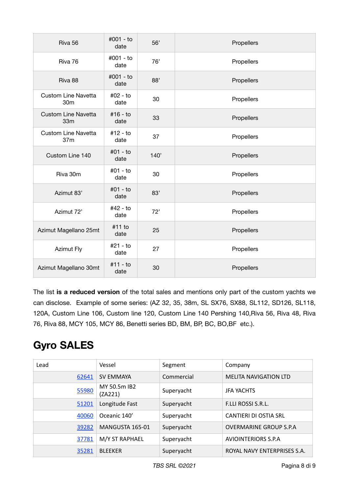| Riva 56                                       | #001 - to<br>date  | 56'  | Propellers |
|-----------------------------------------------|--------------------|------|------------|
| Riva 76                                       | #001 - to<br>date  | 76'  | Propellers |
| Riva 88                                       | #001 - to<br>date  | 88'  | Propellers |
| <b>Custom Line Navetta</b><br>30m             | #02 - to<br>date   | 30   | Propellers |
| <b>Custom Line Navetta</b><br>33 <sub>m</sub> | #16 - to<br>date   | 33   | Propellers |
| <b>Custom Line Navetta</b><br>37m             | #12 - to<br>date   | 37   | Propellers |
| Custom Line 140                               | $#01 - to$<br>date | 140' | Propellers |
| Riva 30m                                      | $#01 - to$<br>date | 30   | Propellers |
| Azimut 83'                                    | #01 - to<br>date   | 83'  | Propellers |
| Azimut 72'                                    | #42 - to<br>date   | 72'  | Propellers |
| Azimut Magellano 25mt                         | #11 to<br>date     | 25   | Propellers |
| <b>Azimut Fly</b>                             | #21 - to<br>date   | 27   | Propellers |
| Azimut Magellano 30mt                         | #11 - to<br>date   | 30   | Propellers |

The list **is a reduced version** of the total sales and mentions only part of the custom yachts we can disclose. Example of some series: (AZ 32, 35, 38m, SL SX76, SX88, SL112, SD126, SL118, 120A, Custom Line 106, Custom line 120, Custom Line 140 Pershing 140,Riva 56, Riva 48, Riva 76, Riva 88, MCY 105, MCY 86, Benetti series BD, BM, BP, BC, BO,BF etc.).

## **Gyro SALES**

| Lead  | Vessel                  | Segment    | Company                       |
|-------|-------------------------|------------|-------------------------------|
| 62641 | <b>SV EMMAYA</b>        | Commercial | <b>MELITA NAVIGATION LTD</b>  |
| 55980 | MY 50.5m IB2<br>(ZA221) | Superyacht | <b>JFA YACHTS</b>             |
| 51201 | Longitude Fast          | Superyacht | <b>F.LLI ROSSI S.R.L.</b>     |
| 40060 | Oceanic 140'            | Superyacht | <b>CANTIERI DI OSTIA SRL</b>  |
| 39282 | MANGUSTA 165-01         | Superyacht | <b>OVERMARINE GROUP S.P.A</b> |
| 37781 | M/Y ST RAPHAEL          | Superyacht | <b>AVIOINTERIORS S.P.A</b>    |
| 35281 | <b>BLEEKER</b>          | Superyacht | ROYAL NAVY ENTERPRISES S.A.   |